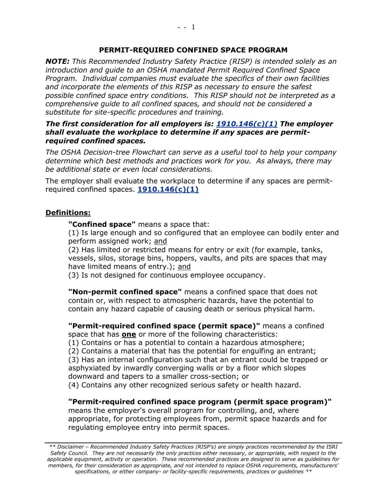#### **PERMIT-REQUIRED CONFINED SPACE PROGRAM**

*NOTE: This Recommended Industry Safety Practice (RISP) is intended solely as an introduction and guide to an OSHA mandated Permit Required Confined Space Program. Individual companies must evaluate the specifics of their own facilities and incorporate the elements of this RISP as necessary to ensure the safest possible confined space entry conditions. This RISP should not be interpreted as a comprehensive guide to all confined spaces, and should not be considered a substitute for site-specific procedures and training.* 

#### *The first consideration for all employers is: [1910.146\(c\)\(1\)](http://www.osha.gov/pls/oshaweb/owalink.query_links?src_doc_type=STANDARDS&src_unique_file=1910_0146&src_anchor_name=1910.146(c)(1)) The employer shall evaluate the workplace to determine if any spaces are permitrequired confined spaces.*

*The OSHA Decision-tree Flowchart can serve as a useful tool to help your company determine which best methods and practices work for you. As always, there may be additional state or even local considerations.*

The employer shall evaluate the workplace to determine if any spaces are permitrequired confined spaces. **[1910.146\(c\)\(1\)](http://www.osha.gov/pls/oshaweb/owalink.query_links?src_doc_type=STANDARDS&src_unique_file=1910_0146&src_anchor_name=1910.146(c)(1))**

#### **Definitions:**

**"Confined space"** means a space that:

(1) Is large enough and so configured that an employee can bodily enter and perform assigned work; and

(2) Has limited or restricted means for entry or exit (for example, tanks, vessels, silos, storage bins, hoppers, vaults, and pits are spaces that may have limited means of entry.); and

(3) Is not designed for continuous employee occupancy.

**"Non-permit confined space"** means a confined space that does not contain or, with respect to atmospheric hazards, have the potential to contain any hazard capable of causing death or serious physical harm.

**"Permit-required confined space (permit space)"** means a confined space that has **one** or more of the following characteristics:

(1) Contains or has a potential to contain a hazardous atmosphere;

(2) Contains a material that has the potential for engulfing an entrant;

(3) Has an internal configuration such that an entrant could be trapped or asphyxiated by inwardly converging walls or by a floor which slopes downward and tapers to a smaller cross-section; or

(4) Contains any other recognized serious safety or health hazard.

**"Permit-required confined space program (permit space program)"** means the employer's overall program for controlling, and, where appropriate, for protecting employees from, permit space hazards and for regulating employee entry into permit spaces.

*<sup>\*\*</sup> Disclaimer – Recommended Industry Safety Practices (RISP's) are simply practices recommended by the ISRI Safety Council. They are not necessarily the only practices either necessary, or appropriate, with respect to the applicable equipment, activity or operation. These recommended practices are designed to serve as guidelines for members, for their consideration as appropriate, and not intended to replace OSHA requirements, manufacturers' specifications, or either company- or facility-specific requirements, practices or guidelines \*\**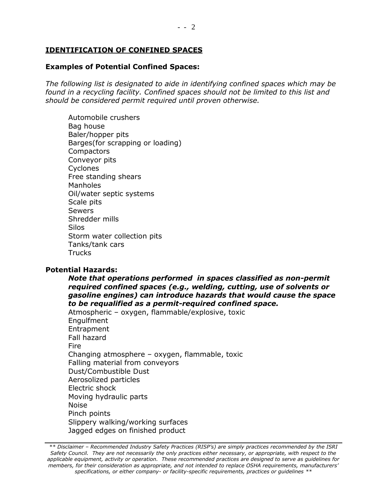#### **IDENTIFICATION OF CONFINED SPACES**

# **Examples of Potential Confined Spaces:**

*The following list is designated to aide in identifying confined spaces which may be found in a recycling facility. Confined spaces should not be limited to this list and should be considered permit required until proven otherwise.*

Automobile crushers Bag house Baler/hopper pits Barges(for scrapping or loading) **Compactors** Conveyor pits **Cyclones** Free standing shears Manholes Oil/water septic systems Scale pits **Sewers** Shredder mills Silos Storm water collection pits Tanks/tank cars Trucks

## **Potential Hazards:**

*Note that operations performed in spaces classified as non-permit required confined spaces (e.g., welding, cutting, use of solvents or gasoline engines) can introduce hazards that would cause the space to be requalified as a permit-required confined space.*

Atmospheric – oxygen, flammable/explosive, toxic Engulfment Entrapment Fall hazard Fire Changing atmosphere – oxygen, flammable, toxic Falling material from conveyors Dust/Combustible Dust Aerosolized particles Electric shock Moving hydraulic parts Noise Pinch points Slippery walking/working surfaces Jagged edges on finished product

*\*\* Disclaimer – Recommended Industry Safety Practices (RISP's) are simply practices recommended by the ISRI Safety Council. They are not necessarily the only practices either necessary, or appropriate, with respect to the applicable equipment, activity or operation. These recommended practices are designed to serve as guidelines for members, for their consideration as appropriate, and not intended to replace OSHA requirements, manufacturers' specifications, or either company- or facility-specific requirements, practices or guidelines \*\**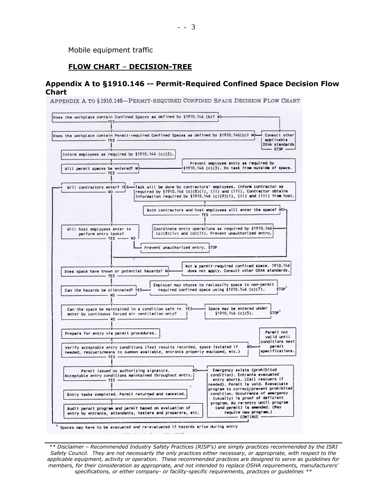Mobile equipment traffic

### **FLOW CHART** – **DECISION-TREE**

#### **Appendix A to §1910.146 -- Permit-Required Confined Space Decision Flow Chart**

APPENDIX A TO §1910.146-PERMIT-REQUIRED CONFINED SPACE DECISION FLOW CHART



*\*\* Disclaimer – Recommended Industry Safety Practices (RISP's) are simply practices recommended by the ISRI Safety Council. They are not necessarily the only practices either necessary, or appropriate, with respect to the applicable equipment, activity or operation. These recommended practices are designed to serve as guidelines for members, for their consideration as appropriate, and not intended to replace OSHA requirements, manufacturers' specifications, or either company- or facility-specific requirements, practices or guidelines \*\**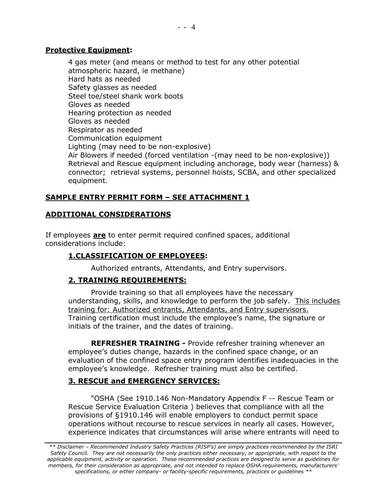#### **Protective Equipment:**

4 gas meter (and means or method to test for any other potential atmospheric hazard, ie methane) Hard hats as needed Safety glasses as needed Steel toe/steel shank work boots Gloves as needed Hearing protection as needed Gloves as needed Respirator as needed Communication equipment Lighting (may need to be non-explosive) Air Blowers if needed (forced ventilation -(may need to be non-explosive)) Retrieval and Rescue equipment including anchorage, body wear (harness) & connector; retrieval systems, personnel hoists, SCBA, and other specialized equipment.

## **SAMPLE ENTRY PERMIT FORM – SEE ATTACHMENT 1**

## **ADDITIONAL CONSIDERATIONS**

If employees **are** to enter permit required confined spaces, additional considerations include:

## **1.CLASSIFICATION OF EMPLOYEES:**

Authorized entrants, Attendants, and Entry supervisors.

## **2. TRAINING REQUIREMENTS:**

Provide training so that all employees have the necessary understanding, skills, and knowledge to perform the job safely. This includes training for: Authorized entrants, Attendants, and Entry supervisors. Training certification must include the employee's name, the signature or initials of the trainer, and the dates of training.

**REFRESHER TRAINING -** Provide refresher training whenever an employee's duties change, hazards in the confined space change, or an evaluation of the confined space entry program identifies inadequacies in the employee's knowledge. Refresher training must also be certified.

# **3. RESCUE and EMERGENCY SERVICES:**

"OSHA (See 1910.146 Non-Mandatory Appendix F -- Rescue Team or Rescue Service Evaluation Criteria ) believes that compliance with all the provisions of §1910.146 will enable employers to conduct permit space operations without recourse to rescue services in nearly all cases. However, experience indicates that circumstances will arise where entrants will need to

*\*\* Disclaimer – Recommended Industry Safety Practices (RISP's) are simply practices recommended by the ISRI Safety Council. They are not necessarily the only practices either necessary, or appropriate, with respect to the applicable equipment, activity or operation. These recommended practices are designed to serve as guidelines for members, for their consideration as appropriate, and not intended to replace OSHA requirements, manufacturers' specifications, or either company- or facility-specific requirements, practices or guidelines \*\**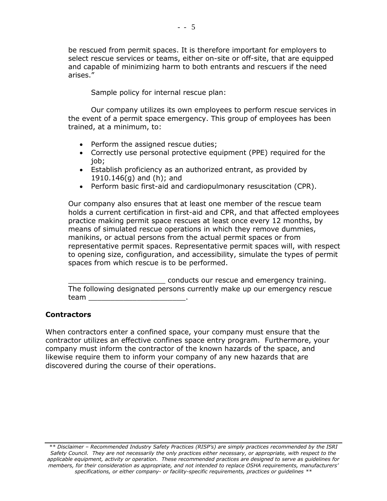be rescued from permit spaces. It is therefore important for employers to select rescue services or teams, either on-site or off-site, that are equipped and capable of minimizing harm to both entrants and rescuers if the need arises."

Sample policy for internal rescue plan:

Our company utilizes its own employees to perform rescue services in the event of a permit space emergency. This group of employees has been trained, at a minimum, to:

- Perform the assigned rescue duties;
- Correctly use personal protective equipment (PPE) required for the job;
- Establish proficiency as an authorized entrant, as provided by 1910.146(g) and (h); and
- Perform basic first-aid and cardiopulmonary resuscitation (CPR).

Our company also ensures that at least one member of the rescue team holds a current certification in first-aid and CPR, and that affected employees practice making permit space rescues at least once every 12 months, by means of simulated rescue operations in which they remove dummies, manikins, or actual persons from the actual permit spaces or from representative permit spaces. Representative permit spaces will, with respect to opening size, configuration, and accessibility, simulate the types of permit spaces from which rescue is to be performed.

\_\_\_\_\_\_\_\_\_\_\_\_\_\_\_\_\_\_\_\_\_\_ conducts our rescue and emergency training. The following designated persons currently make up our emergency rescue team \_\_\_\_\_\_\_\_\_\_\_\_\_\_\_\_\_\_\_\_\_\_.

## **Contractors**

When contractors enter a confined space, your company must ensure that the contractor utilizes an effective confines space entry program. Furthermore, your company must inform the contractor of the known hazards of the space, and likewise require them to inform your company of any new hazards that are discovered during the course of their operations.

*<sup>\*\*</sup> Disclaimer – Recommended Industry Safety Practices (RISP's) are simply practices recommended by the ISRI Safety Council. They are not necessarily the only practices either necessary, or appropriate, with respect to the applicable equipment, activity or operation. These recommended practices are designed to serve as guidelines for members, for their consideration as appropriate, and not intended to replace OSHA requirements, manufacturers' specifications, or either company- or facility-specific requirements, practices or guidelines \*\**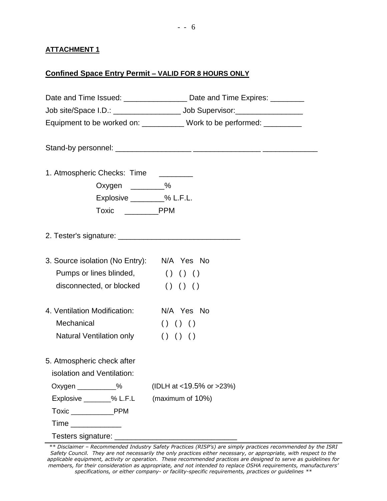#### **ATTACHMENT 1**

# **Confined Space Entry Permit – VALID FOR 8 HOURS ONLY**

|                                            | Date and Time Issued: _________________ Date and Time Expires: ________ |  |  |  |
|--------------------------------------------|-------------------------------------------------------------------------|--|--|--|
|                                            |                                                                         |  |  |  |
|                                            | Equipment to be worked on: ___________ Work to be performed: _________  |  |  |  |
|                                            |                                                                         |  |  |  |
| 1. Atmospheric Checks: Time ________       |                                                                         |  |  |  |
| Oxygen $\_\_\_\_\_$ %                      |                                                                         |  |  |  |
| Explosive _________% L.F.L.                |                                                                         |  |  |  |
|                                            |                                                                         |  |  |  |
|                                            |                                                                         |  |  |  |
| 3. Source isolation (No Entry): N/A Yes No |                                                                         |  |  |  |
| Pumps or lines blinded, () () ()           |                                                                         |  |  |  |
| disconnected, or blocked () () ()          |                                                                         |  |  |  |
| 4. Ventilation Modification:               | N/A Yes No                                                              |  |  |  |
| Mechanical                                 | () () ()                                                                |  |  |  |
| Natural Ventilation only                   | () () ()                                                                |  |  |  |
| 5. Atmospheric check after                 |                                                                         |  |  |  |
| isolation and Ventilation:                 |                                                                         |  |  |  |
| Oxygen ____________%                       | (IDLH at <19.5% or >23%)                                                |  |  |  |
| Explosive ________% L.F.L                  | (maximum of 10%)                                                        |  |  |  |
| Toxic PPM                                  |                                                                         |  |  |  |
|                                            |                                                                         |  |  |  |
| Testers signature: ______                  |                                                                         |  |  |  |

*<sup>\*\*</sup> Disclaimer – Recommended Industry Safety Practices (RISP's) are simply practices recommended by the ISRI Safety Council. They are not necessarily the only practices either necessary, or appropriate, with respect to the applicable equipment, activity or operation. These recommended practices are designed to serve as guidelines for members, for their consideration as appropriate, and not intended to replace OSHA requirements, manufacturers' specifications, or either company- or facility-specific requirements, practices or guidelines \*\**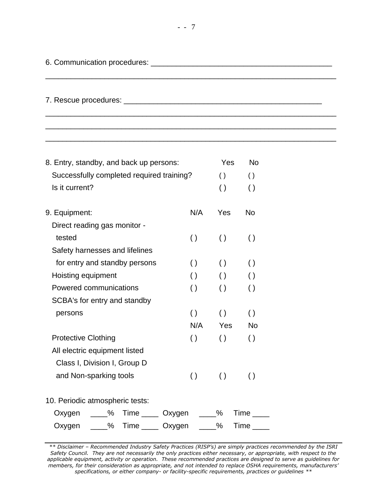| 6. Communication procedures: |  |
|------------------------------|--|
|------------------------------|--|

7. Rescue procedures: \_\_\_\_\_\_\_\_\_\_\_\_\_\_\_\_\_\_\_\_\_\_\_\_\_\_\_\_\_\_\_\_\_\_\_\_\_\_\_\_\_\_\_\_\_\_\_

| 8. Entry, standby, and back up persons:      | Yes                     | <b>No</b>          |                         |  |  |
|----------------------------------------------|-------------------------|--------------------|-------------------------|--|--|
| Successfully completed required training?    | $\left( \ \right)$      | $\left( \ \right)$ |                         |  |  |
| Is it current?                               |                         | $\left( \ \right)$ | $\left( \ \right)$      |  |  |
| 9. Equipment:                                | N/A                     | Yes                | <b>No</b>               |  |  |
| Direct reading gas monitor -                 |                         |                    |                         |  |  |
| tested                                       | $\left( \ \right)$      | $\left( \ \right)$ | $\left( \ \right)$      |  |  |
| Safety harnesses and lifelines               |                         |                    |                         |  |  |
| for entry and standby persons                | $\left( \ \right)$      | $\left( \ \right)$ |                         |  |  |
| Hoisting equipment                           | $\left( \ \right)$      | $\left( \ \right)$ | $\left( \ \right)$      |  |  |
| Powered communications                       | $\left( \ \right)$      | $\left( \ \right)$ |                         |  |  |
| SCBA's for entry and standby                 |                         |                    |                         |  |  |
| persons                                      | $\left( \ \right)$      | $\left( \ \right)$ | $\left( \ \right)$      |  |  |
|                                              | N/A                     | Yes                | <b>No</b>               |  |  |
| <b>Protective Clothing</b>                   | $\left( \ \right)$      | $\left( \ \right)$ |                         |  |  |
| All electric equipment listed                |                         |                    |                         |  |  |
| Class I, Division I, Group D                 |                         |                    |                         |  |  |
| and Non-sparking tools<br>$\left( \ \right)$ |                         | $\left( \ \right)$ | $\left( \ \right)$      |  |  |
| 10. Periodic atmospheric tests:              |                         |                    |                         |  |  |
| Oxygen ____%                                 | Time _____ Oxygen ____% |                    | <b>Time</b>             |  |  |
| Oxygen ____% Time ____ Oxygen ____%          |                         |                    | $Time$ <sub>_____</sub> |  |  |
|                                              |                         |                    |                         |  |  |

*\*\* Disclaimer – Recommended Industry Safety Practices (RISP's) are simply practices recommended by the ISRI Safety Council. They are not necessarily the only practices either necessary, or appropriate, with respect to the applicable equipment, activity or operation. These recommended practices are designed to serve as guidelines for members, for their consideration as appropriate, and not intended to replace OSHA requirements, manufacturers' specifications, or either company- or facility-specific requirements, practices or guidelines \*\**

\_\_\_\_\_\_\_\_\_\_\_\_\_\_\_\_\_\_\_\_\_\_\_\_\_\_\_\_\_\_\_\_\_\_\_\_\_\_\_\_\_\_\_\_\_\_\_\_\_\_\_\_\_\_\_\_\_\_\_\_\_\_\_\_\_\_\_\_\_

\_\_\_\_\_\_\_\_\_\_\_\_\_\_\_\_\_\_\_\_\_\_\_\_\_\_\_\_\_\_\_\_\_\_\_\_\_\_\_\_\_\_\_\_\_\_\_\_\_\_\_\_\_\_\_\_\_\_\_\_\_\_\_\_\_\_\_\_\_ \_\_\_\_\_\_\_\_\_\_\_\_\_\_\_\_\_\_\_\_\_\_\_\_\_\_\_\_\_\_\_\_\_\_\_\_\_\_\_\_\_\_\_\_\_\_\_\_\_\_\_\_\_\_\_\_\_\_\_\_\_\_\_\_\_\_\_\_\_ \_\_\_\_\_\_\_\_\_\_\_\_\_\_\_\_\_\_\_\_\_\_\_\_\_\_\_\_\_\_\_\_\_\_\_\_\_\_\_\_\_\_\_\_\_\_\_\_\_\_\_\_\_\_\_\_\_\_\_\_\_\_\_\_\_\_\_\_\_